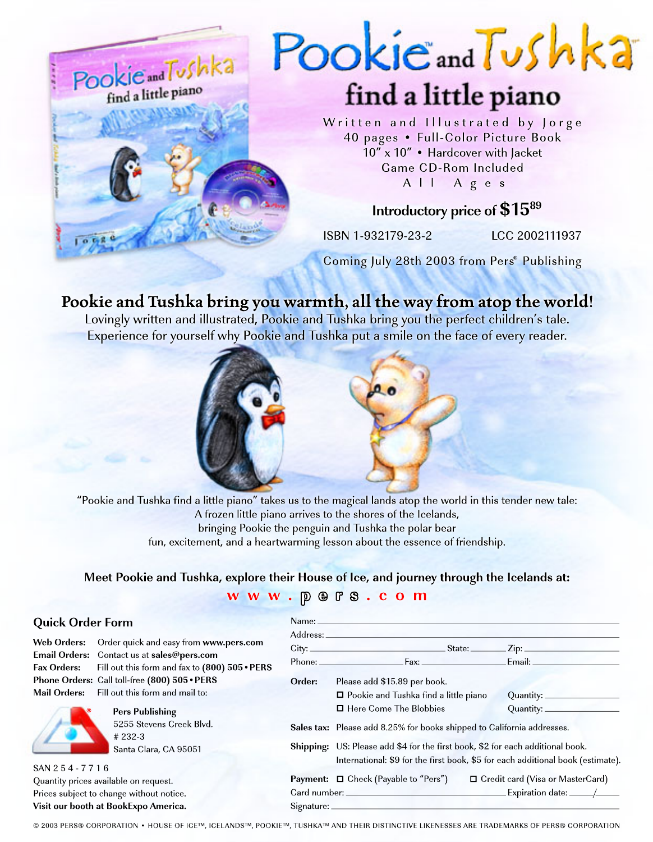

# **Pookie and Tushka bring you warmth, all the way from atop the world!**

Lovingly written and illustrated, Pookie and Tushka bring you the perfect children's tale. Experience for yourself why Pookie and Tushka put a smile on the face of every reader.



"Pookie and Tushka find a little piano" takes us to the magical lands atop the world in this tender new tale: A frozen little piano arrives to the shores of the Icelands, bringing Pookie the penguin and Tushka the polar bear fun, excitement, and a heartwarming lesson about the essence of friendship.

### **Meet Pookie and Tushka, explore their House of Ice, and journey through the Icelands at: w w w . p e r s . c o m**

#### **Quick Order Form**

**Email Orders:** Contact us at **sales@pers.com Phone Orders:** Call toll-free **(800) 505•PERS Mail Orders:** Fill out this form and mail to:

**Web Orders:** Order quick and easy from **www.pers.com Fax Orders:** Fill out this form and fax to **(800) 505•PERS**

5255 Stevens Creek Blvd.



Santa Clara, CA 95051 SAN 2 5 4 - 7 7 1 6 Quantity prices available on request. Prices subject to change without notice. **Visit our booth at BookExpo America.**

# 232-3

#### Name: Address: City: State: Zip: Phone: Fax: Fax: Email: \_ **Order:** Please add \$15.89 per book.  $\Box$  Pookie and Tushka find a little piano Quantity: □ Here Come The Blobbies Quantity: **Sales tax:** Please add 8.25% for books shipped to California addresses. **Shipping:** US: Please add \$4 for the first book, \$2 for each additional book. International: \$9 for the first book, \$5 for each additional book (estimate). **Payment:** □ Check (Payable to "Pers") □ Credit card (Visa or MasterCard)

Card number: Expiration date: /

© 2003 PERS® CORPORATION • HOUSE OF ICE™, ICELANDS™, POOKIE™, TUSHKA™ AND THEIR DISTINCTIVE LIKENESSES ARE TRADEMARKS OF PERS® CORPORATION

Signature: